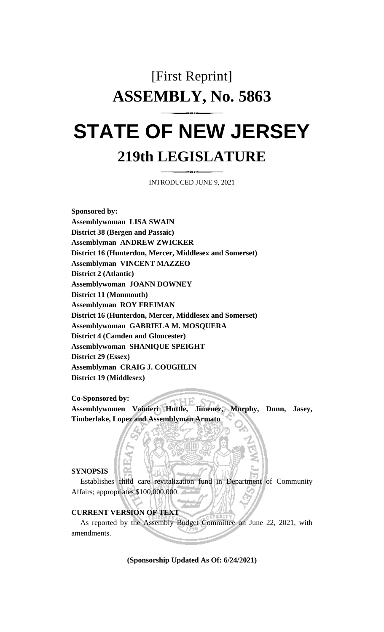# [First Reprint] **ASSEMBLY, No. 5863 STATE OF NEW JERSEY**

# **219th LEGISLATURE**

INTRODUCED JUNE 9, 2021

**Sponsored by: Assemblywoman LISA SWAIN District 38 (Bergen and Passaic) Assemblyman ANDREW ZWICKER District 16 (Hunterdon, Mercer, Middlesex and Somerset) Assemblyman VINCENT MAZZEO District 2 (Atlantic) Assemblywoman JOANN DOWNEY District 11 (Monmouth) Assemblyman ROY FREIMAN District 16 (Hunterdon, Mercer, Middlesex and Somerset) Assemblywoman GABRIELA M. MOSQUERA District 4 (Camden and Gloucester) Assemblywoman SHANIQUE SPEIGHT District 29 (Essex) Assemblyman CRAIG J. COUGHLIN District 19 (Middlesex)**

#### **Co-Sponsored by:**

**Assemblywomen Vainieri Huttle, Jimenez, Murphy, Dunn, Jasey, Timberlake, Lopez and Assemblyman Armato**

#### **SYNOPSIS**

Establishes child care revitalization fund in Department of Community Affairs; appropriates \$100,000,000.

### **CURRENT VERSION OF TEXT**

As reported by the Assembly Budget Committee on June 22, 2021, with amendments.

**(Sponsorship Updated As Of: 6/24/2021)**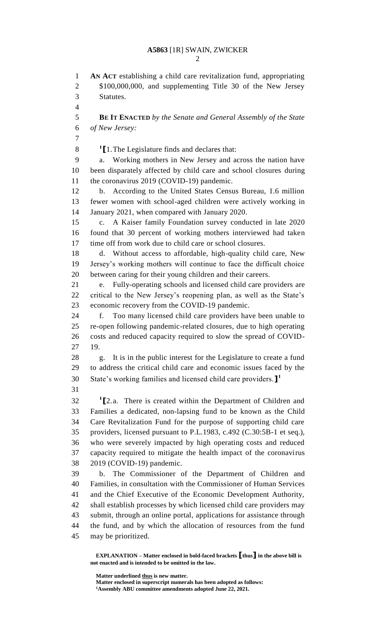**AN ACT** establishing a child care revitalization fund, appropriating \$100,000,000, and supplementing Title 30 of the New Jersey Statutes. **BE IT ENACTED** *by the Senate and General Assembly of the State of New Jersey:* **[**1.The Legislature finds and declares that: a. Working mothers in New Jersey and across the nation have been disparately affected by child care and school closures during 11 the coronavirus 2019 (COVID-19) pandemic. b. According to the United States Census Bureau, 1.6 million fewer women with school-aged children were actively working in January 2021, when compared with January 2020. c. A Kaiser family Foundation survey conducted in late 2020 found that 30 percent of working mothers interviewed had taken time off from work due to child care or school closures. d. Without access to affordable, high-quality child care, New Jersey's working mothers will continue to face the difficult choice between caring for their young children and their careers. e. Fully-operating schools and licensed child care providers are critical to the New Jersey's reopening plan, as well as the State's economic recovery from the COVID-19 pandemic. f. Too many licensed child care providers have been unable to re-open following pandemic-related closures, due to high operating costs and reduced capacity required to slow the spread of COVID- 19. g. It is in the public interest for the Legislature to create a fund to address the critical child care and economic issues faced by the State's working families and licensed child care providers.**] 1 [**2.a. There is created within the Department of Children and Families a dedicated, non-lapsing fund to be known as the Child Care Revitalization Fund for the purpose of supporting child care providers, licensed pursuant to P.L.1983, c.492 (C.30:5B-1 et seq.), who were severely impacted by high operating costs and reduced capacity required to mitigate the health impact of the coronavirus 2019 (COVID-19) pandemic. b. The Commissioner of the Department of Children and Families, in consultation with the Commissioner of Human Services and the Chief Executive of the Economic Development Authority, shall establish processes by which licensed child care providers may submit, through an online portal, applications for assistance through the fund, and by which the allocation of resources from the fund may be prioritized.

**Matter underlined thus is new matter.**

**Matter enclosed in superscript numerals has been adopted as follows: Assembly ABU committee amendments adopted June 22, 2021.**

**EXPLANATION – Matter enclosed in bold-faced brackets [thus] in the above bill is not enacted and is intended to be omitted in the law.**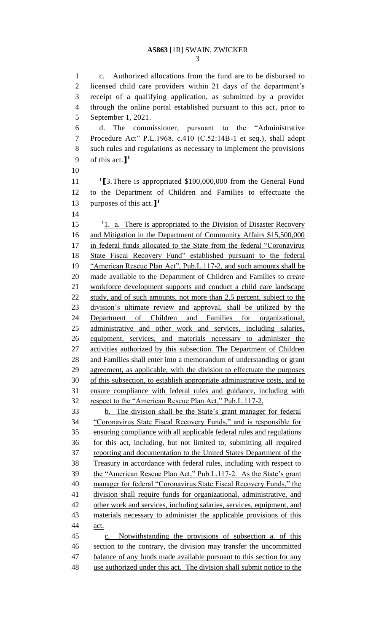c. Authorized allocations from the fund are to be disbursed to licensed child care providers within 21 days of the department's receipt of a qualifying application, as submitted by a provider through the online portal established pursuant to this act, prior to September 1, 2021. d. The commissioner, pursuant to the "Administrative Procedure Act" P.L.1968, c.410 (C.52:14B-1 et seq.), shall adopt such rules and regulations as necessary to implement the provisions of this act.**] 1 [**3.There is appropriated \$100,000,000 from the General Fund to the Department of Children and Families to effectuate the purposes of this act.**] 1** 15 <sup>1</sup>1. a. There is appropriated to the Division of Disaster Recovery 16 and Mitigation in the Department of Community Affairs \$15,500,000 in federal funds allocated to the State from the federal "Coronavirus State Fiscal Recovery Fund" established pursuant to the federal 19 "American Rescue Plan Act", Pub.L.117-2, and such amounts shall be made available to the Department of Children and Families to create workforce development supports and conduct a child care landscape 22 study, and of such amounts, not more than 2.5 percent, subject to the division's ultimate review and approval, shall be utilized by the Department of Children and Families for organizational, administrative and other work and services, including salaries, equipment, services, and materials necessary to administer the activities authorized by this subsection. The Department of Children and Families shall enter into a memorandum of understanding or grant agreement, as applicable, with the division to effectuate the purposes of this subsection, to establish appropriate administrative costs, and to ensure compliance with federal rules and guidance, including with respect to the "American Rescue Plan Act," Pub.L.117-2. b. The division shall be the State's grant manager for federal "Coronavirus State Fiscal Recovery Funds," and is responsible for ensuring compliance with all applicable federal rules and regulations for this act, including, but not limited to, submitting all required reporting and documentation to the United States Department of the Treasury in accordance with federal rules, including with respect to the "American Rescue Plan Act," Pub.L.117-2. As the State's grant manager for federal "Coronavirus State Fiscal Recovery Funds," the division shall require funds for organizational, administrative, and other work and services, including salaries, services, equipment, and materials necessary to administer the applicable provisions of this act. c. Notwithstanding the provisions of subsection a. of this section to the contrary, the division may transfer the uncommitted 47 balance of any funds made available pursuant to this section for any use authorized under this act. The division shall submit notice to the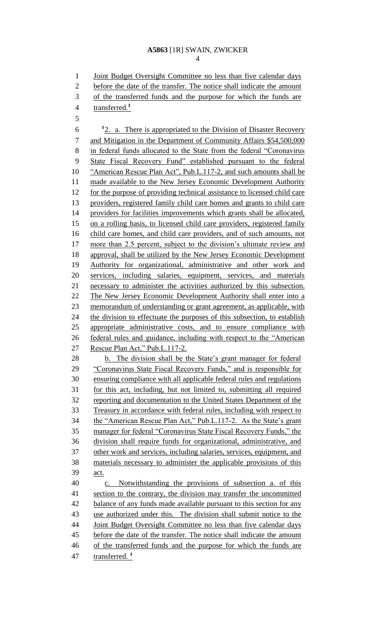#### **A5863** [1R] SWAIN, ZWICKER

 Joint Budget Oversight Committee no less than five calendar days before the date of the transfer. The notice shall indicate the amount of the transferred funds and the purpose for which the funds are transferred.**<sup>1</sup>** <sup>1</sup>2. a. There is appropriated to the Division of Disaster Recovery and Mitigation in the Department of Community Affairs \$54,500,000 in federal funds allocated to the State from the federal "Coronavirus State Fiscal Recovery Fund" established pursuant to the federal "American Rescue Plan Act", Pub.L.117-2, and such amounts shall be 11 made available to the New Jersey Economic Development Authority for the purpose of providing technical assistance to licensed child care providers, registered family child care homes and grants to child care providers for facilities improvements which grants shall be allocated, on a rolling basis, to licensed child care providers, registered family child care homes, and child care providers, and of such amounts, not 17 more than 2.5 percent, subject to the division's ultimate review and approval, shall be utilized by the New Jersey Economic Development Authority for organizational, administrative and other work and services, including salaries, equipment, services, and materials necessary to administer the activities authorized by this subsection. 22 The New Jersey Economic Development Authority shall enter into a memorandum of understanding or grant agreement, as applicable, with 24 the division to effectuate the purposes of this subsection, to establish appropriate administrative costs, and to ensure compliance with federal rules and guidance, including with respect to the "American Rescue Plan Act," Pub.L.117-2. b. The division shall be the State's grant manager for federal "Coronavirus State Fiscal Recovery Funds," and is responsible for ensuring compliance with all applicable federal rules and regulations for this act, including, but not limited to, submitting all required reporting and documentation to the United States Department of the Treasury in accordance with federal rules, including with respect to the "American Rescue Plan Act," Pub.L.117-2. As the State's grant manager for federal "Coronavirus State Fiscal Recovery Funds," the division shall require funds for organizational, administrative, and other work and services, including salaries, services, equipment, and materials necessary to administer the applicable provisions of this act. c. Notwithstanding the provisions of subsection a. of this 41 section to the contrary, the division may transfer the uncommitted 42 balance of any funds made available pursuant to this section for any use authorized under this. The division shall submit notice to the Joint Budget Oversight Committee no less than five calendar days before the date of the transfer. The notice shall indicate the amount

- of the transferred funds and the purpose for which the funds are
- transferred. **<sup>1</sup>**